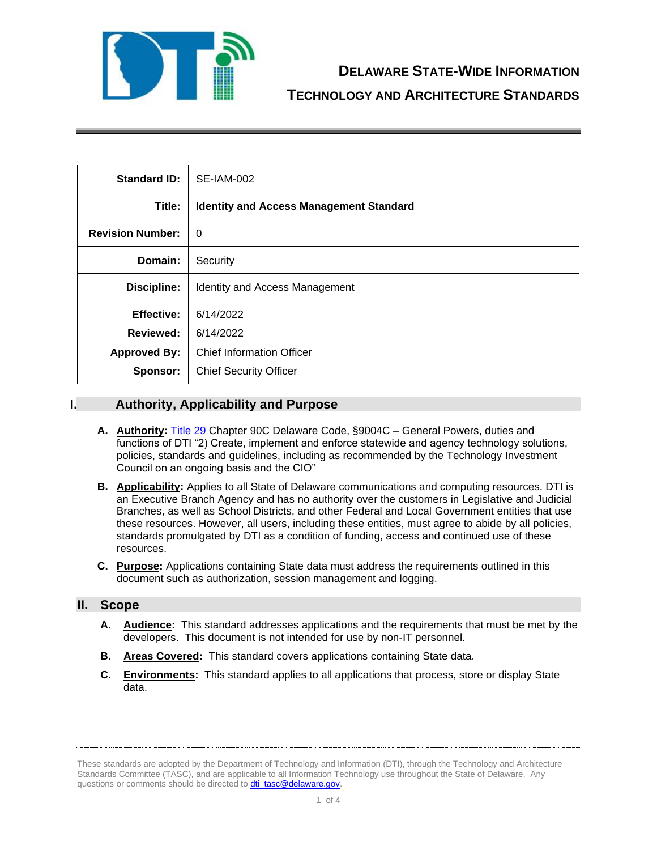

| <b>Standard ID:</b>     | SE-IAM-002                                     |
|-------------------------|------------------------------------------------|
| Title:                  | <b>Identity and Access Management Standard</b> |
| <b>Revision Number:</b> | $\Omega$                                       |
| Domain:                 | Security                                       |
| Discipline:             | Identity and Access Management                 |
| <b>Effective:</b>       | 6/14/2022                                      |
| <b>Reviewed:</b>        | 6/14/2022                                      |
| <b>Approved By:</b>     | <b>Chief Information Officer</b>               |
| Sponsor:                | <b>Chief Security Officer</b>                  |

# **I. Authority, Applicability and Purpose**

- **A. Authority:** [Title 29](https://delcode.delaware.gov/title29/c090c/sc01/index.shtml) Chapter 90C Delaware Code, §9004C General Powers, duties and functions of DTI "2) Create, implement and enforce statewide and agency technology solutions, policies, standards and guidelines, including as recommended by the Technology Investment Council on an ongoing basis and the CIO"
- **B. Applicability:** Applies to all State of Delaware communications and computing resources. DTI is an Executive Branch Agency and has no authority over the customers in Legislative and Judicial Branches, as well as School Districts, and other Federal and Local Government entities that use these resources. However, all users, including these entities, must agree to abide by all policies, standards promulgated by DTI as a condition of funding, access and continued use of these resources.
- **C. Purpose:** Applications containing State data must address the requirements outlined in this document such as authorization, session management and logging.

## **II. Scope**

- **A. Audience:** This standard addresses applications and the requirements that must be met by the developers. This document is not intended for use by non-IT personnel.
- **B. Areas Covered:** This standard covers applications containing State data.
- **C. Environments:** This standard applies to all applications that process, store or display State data.

These standards are adopted by the Department of Technology and Information (DTI), through the Technology and Architecture Standards Committee (TASC), and are applicable to all Information Technology use throughout the State of Delaware. Any questions or comments should be directed to **dti\_tasc@delaware.gov**.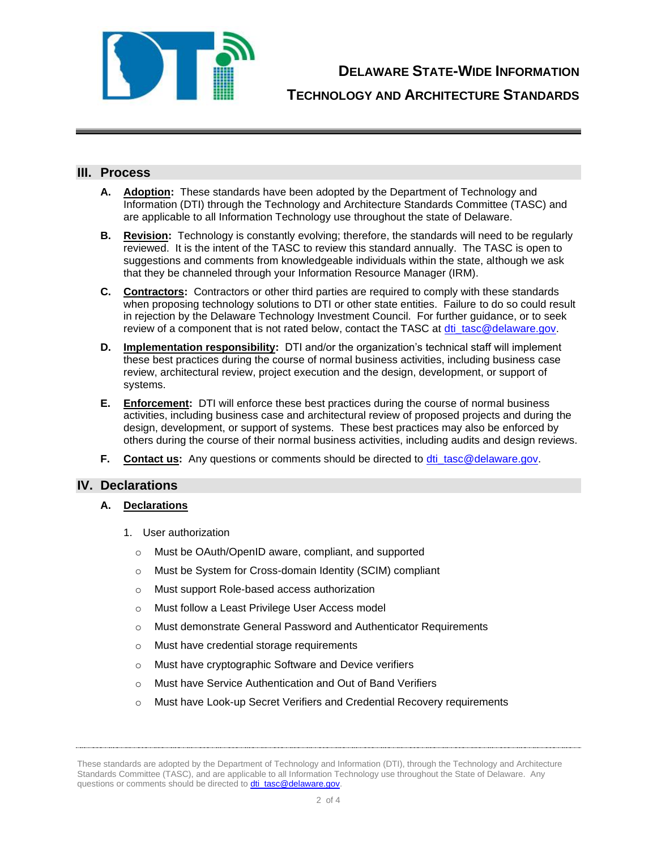

**DELAWARE STATE-WIDE INFORMATION**

**TECHNOLOGY AND ARCHITECTURE STANDARDS**

## **III. Process**

- **A. Adoption:** These standards have been adopted by the Department of Technology and Information (DTI) through the Technology and Architecture Standards Committee (TASC) and are applicable to all Information Technology use throughout the state of Delaware.
- **B. Revision:** Technology is constantly evolving; therefore, the standards will need to be regularly reviewed. It is the intent of the TASC to review this standard annually. The TASC is open to suggestions and comments from knowledgeable individuals within the state, although we ask that they be channeled through your Information Resource Manager (IRM).
- **C. Contractors:** Contractors or other third parties are required to comply with these standards when proposing technology solutions to DTI or other state entities. Failure to do so could result in rejection by the Delaware Technology Investment Council. For further guidance, or to seek review of a component that is not rated below, contact the TASC at [dti\\_tasc@delaware.gov.](mailto:dti_tasc@delaware.gov)
- **D. Implementation responsibility:** DTI and/or the organization's technical staff will implement these best practices during the course of normal business activities, including business case review, architectural review, project execution and the design, development, or support of systems.
- **E. Enforcement:** DTI will enforce these best practices during the course of normal business activities, including business case and architectural review of proposed projects and during the design, development, or support of systems. These best practices may also be enforced by others during the course of their normal business activities, including audits and design reviews.
- **F. Contact us:** Any questions or comments should be directed to [dti\\_tasc@delaware.gov.](mailto:dti_tasc@delaware.gov)

## **IV. Declarations**

#### **A. Declarations**

- 1. User authorization
	- o Must be OAuth/OpenID aware, compliant, and supported
	- o Must be System for Cross-domain Identity (SCIM) compliant
	- o Must support Role-based access authorization
	- o Must follow a Least Privilege User Access model
	- o Must demonstrate General Password and Authenticator Requirements
	- o Must have credential storage requirements
	- o Must have cryptographic Software and Device verifiers
	- o Must have Service Authentication and Out of Band Verifiers
	- o Must have Look-up Secret Verifiers and Credential Recovery requirements

These standards are adopted by the Department of Technology and Information (DTI), through the Technology and Architecture Standards Committee (TASC), and are applicable to all Information Technology use throughout the State of Delaware. Any questions or comments should be directed to **dti\_tasc@delaware.gov.**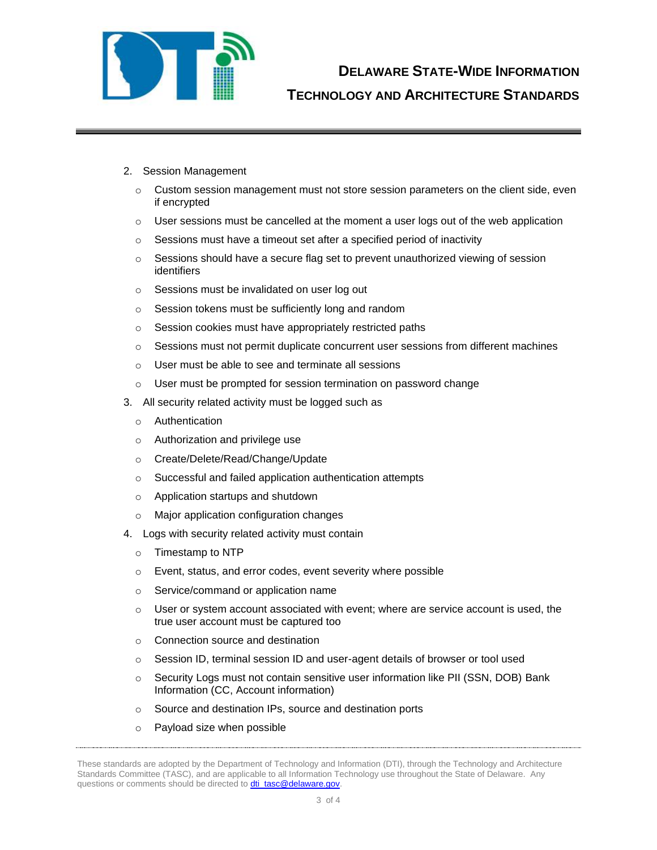

- 2. Session Management
	- $\circ$  Custom session management must not store session parameters on the client side, even if encrypted
	- $\circ$  User sessions must be cancelled at the moment a user logs out of the web application
	- $\circ$  Sessions must have a timeout set after a specified period of inactivity
	- o Sessions should have a secure flag set to prevent unauthorized viewing of session identifiers
	- o Sessions must be invalidated on user log out
	- o Session tokens must be sufficiently long and random
	- o Session cookies must have appropriately restricted paths
	- $\circ$  Sessions must not permit duplicate concurrent user sessions from different machines
	- o User must be able to see and terminate all sessions
	- o User must be prompted for session termination on password change
- 3. All security related activity must be logged such as
	- o Authentication
	- o Authorization and privilege use
	- o Create/Delete/Read/Change/Update
	- o Successful and failed application authentication attempts
	- o Application startups and shutdown
	- o Major application configuration changes
- 4. Logs with security related activity must contain
	- o Timestamp to NTP
	- o Event, status, and error codes, event severity where possible
	- o Service/command or application name
	- o User or system account associated with event; where are service account is used, the true user account must be captured too
	- o Connection source and destination
	- o Session ID, terminal session ID and user-agent details of browser or tool used
	- o Security Logs must not contain sensitive user information like PII (SSN, DOB) Bank Information (CC, Account information)
	- o Source and destination IPs, source and destination ports
	- o Payload size when possible

These standards are adopted by the Department of Technology and Information (DTI), through the Technology and Architecture Standards Committee (TASC), and are applicable to all Information Technology use throughout the State of Delaware. Any questions or comments should be directed to **dti\_tasc@delaware.gov**.